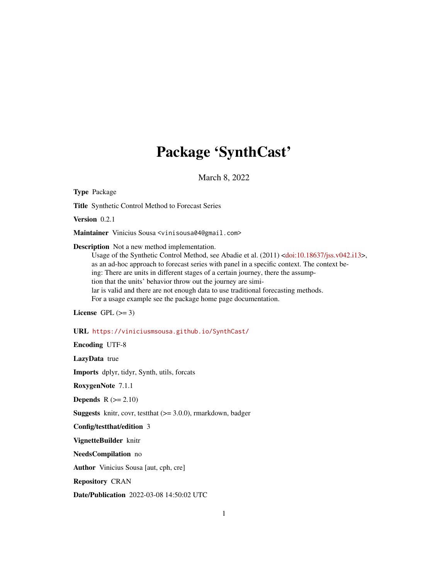# Package 'SynthCast'

March 8, 2022

Type Package Title Synthetic Control Method to Forecast Series Version 0.2.1 Maintainer Vinicius Sousa <vinisousa04@gmail.com> Description Not a new method implementation. Usage of the Synthetic Control Method, see Abadie et al. (2011) [<doi:10.18637/jss.v042.i13>](https://doi.org/10.18637/jss.v042.i13), as an ad-hoc approach to forecast series with panel in a specific context. The context being: There are units in different stages of a certain journey, there the assumption that the units' behavior throw out the journey are similar is valid and there are not enough data to use traditional forecasting methods. For a usage example see the package home page documentation. License GPL  $(>= 3)$ URL <https://viniciusmsousa.github.io/SynthCast/> Encoding UTF-8 LazyData true Imports dplyr, tidyr, Synth, utils, forcats RoxygenNote 7.1.1 **Depends**  $R$  ( $>= 2.10$ ) **Suggests** knitr, covr, test that  $(>= 3.0.0)$ , rmarkdown, badger Config/testthat/edition 3 VignetteBuilder knitr NeedsCompilation no Author Vinicius Sousa [aut, cph, cre] Repository CRAN Date/Publication 2022-03-08 14:50:02 UTC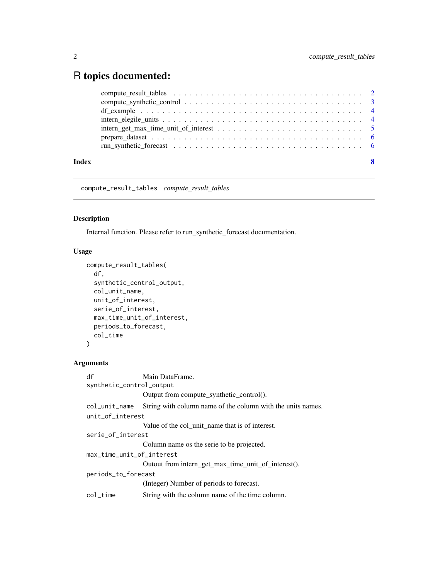## <span id="page-1-0"></span>R topics documented:

| Index | - 8 |
|-------|-----|
|       |     |
|       |     |
|       |     |
|       |     |
|       |     |
|       |     |
|       |     |

compute\_result\_tables *compute\_result\_tables*

#### Description

Internal function. Please refer to run\_synthetic\_forecast documentation.

#### Usage

```
compute_result_tables(
  df,
  synthetic_control_output,
 col_unit_name,
 unit_of_interest,
  serie_of_interest,
 max_time_unit_of_interest,
 periods_to_forecast,
 col_time
)
```
#### Arguments

| df                        | Main DataFrame.                                             |  |  |  |
|---------------------------|-------------------------------------------------------------|--|--|--|
| synthetic_control_output  |                                                             |  |  |  |
|                           | Output from compute_synthetic_control().                    |  |  |  |
| col_unit_name             | String with column name of the column with the units names. |  |  |  |
| unit_of_interest          |                                                             |  |  |  |
|                           | Value of the col unit name that is of interest.             |  |  |  |
| serie_of_interest         |                                                             |  |  |  |
|                           | Column name os the serie to be projected.                   |  |  |  |
| max_time_unit_of_interest |                                                             |  |  |  |
|                           | Outout from intern_get_max_time_unit_of_interest().         |  |  |  |
| periods_to_forecast       |                                                             |  |  |  |
|                           | (Integer) Number of periods to forecast.                    |  |  |  |
| col time                  | String with the column name of the time column.             |  |  |  |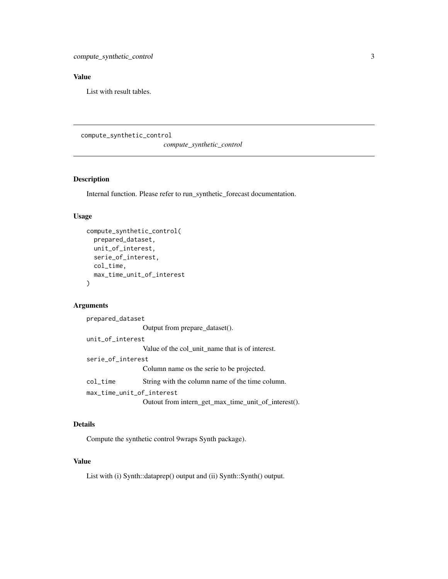#### <span id="page-2-0"></span>Value

List with result tables.

compute\_synthetic\_control

*compute\_synthetic\_control*

#### Description

Internal function. Please refer to run\_synthetic\_forecast documentation.

#### Usage

```
compute_synthetic_control(
  prepared_dataset,
  unit_of_interest,
  serie_of_interest,
  col_time,
 max_time_unit_of_interest
)
```
#### Arguments

```
prepared_dataset
                 Output from prepare_dataset().
unit_of_interest
                 Value of the col_unit_name that is of interest.
serie_of_interest
                 Column name os the serie to be projected.
col_time String with the column name of the time column.
max_time_unit_of_interest
                 Outout from intern_get_max_time_unit_of_interest().
```
#### Details

Compute the synthetic control 9wraps Synth package).

#### Value

List with (i) Synth::dataprep() output and (ii) Synth::Synth() output.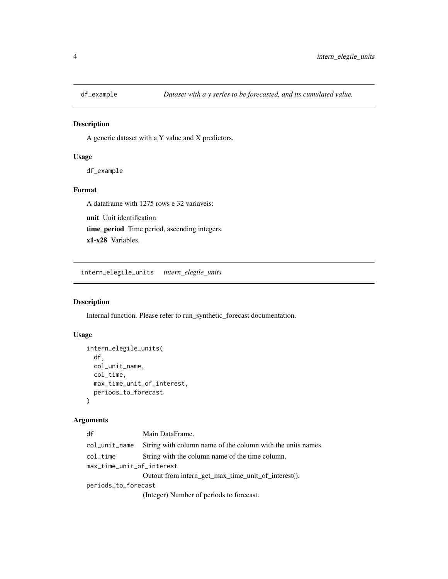<span id="page-3-0"></span>

#### Description

A generic dataset with a Y value and X predictors.

#### Usage

df\_example

### Format

A dataframe with 1275 rows e 32 variaveis:

unit Unit identification time\_period Time period, ascending integers. x1-x28 Variables.

intern\_elegile\_units *intern\_elegile\_units*

#### Description

Internal function. Please refer to run\_synthetic\_forecast documentation.

#### Usage

```
intern_elegile_units(
 df,
 col_unit_name,
 col_time,
 max_time_unit_of_interest,
 periods_to_forecast
)
```
#### Arguments

| df                        | Main DataFrame.                                             |  |  |
|---------------------------|-------------------------------------------------------------|--|--|
| col_unit_name             | String with column name of the column with the units names. |  |  |
| col_time                  | String with the column name of the time column.             |  |  |
| max_time_unit_of_interest |                                                             |  |  |
|                           | Outout from intern_get_max_time_unit_of_interest().         |  |  |
| periods_to_forecast       |                                                             |  |  |
|                           | (Integer) Number of periods to forecast.                    |  |  |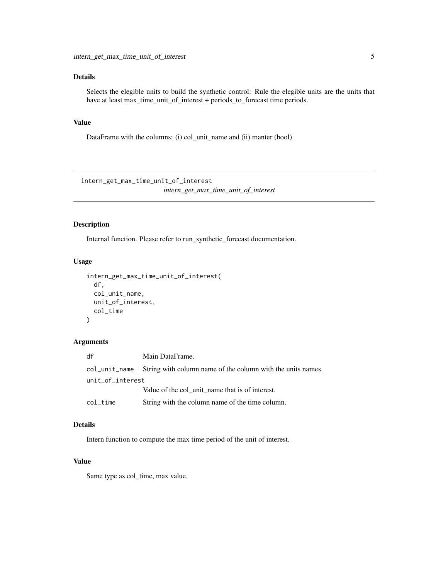#### <span id="page-4-0"></span>Details

Selects the elegible units to build the synthetic control: Rule the elegible units are the units that have at least max\_time\_unit\_of\_interest + periods\_to\_forecast time periods.

#### Value

DataFrame with the columns: (i) col\_unit\_name and (ii) manter (bool)

intern\_get\_max\_time\_unit\_of\_interest *intern\_get\_max\_time\_unit\_of\_interest*

#### Description

Internal function. Please refer to run\_synthetic\_forecast documentation.

#### Usage

```
intern_get_max_time_unit_of_interest(
  df,
  col_unit_name,
 unit_of_interest,
  col_time
\mathcal{L}
```
#### Arguments

| df               | Main DataFrame.                                                           |
|------------------|---------------------------------------------------------------------------|
|                  | col_unit_name String with column name of the column with the units names. |
| unit_of_interest |                                                                           |
|                  | Value of the col unit name that is of interest.                           |
| col time         | String with the column name of the time column.                           |

#### Details

Intern function to compute the max time period of the unit of interest.

#### Value

Same type as col\_time, max value.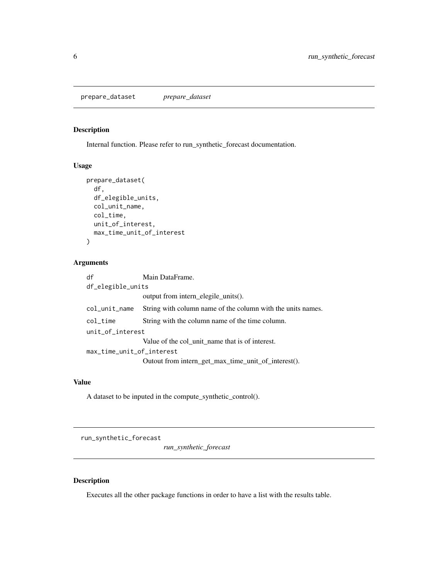<span id="page-5-0"></span>prepare\_dataset *prepare\_dataset*

#### Description

Internal function. Please refer to run\_synthetic\_forecast documentation.

#### Usage

```
prepare_dataset(
  df,
  df_elegible_units,
  col_unit_name,
  col_time,
  unit_of_interest,
  max_time_unit_of_interest
\mathcal{L}
```
#### Arguments

| df                                   | Main DataFrame.                                             |  |  |  |
|--------------------------------------|-------------------------------------------------------------|--|--|--|
| df_elegible_units                    |                                                             |  |  |  |
|                                      | output from intern elegile units().                         |  |  |  |
| col_unit_name                        | String with column name of the column with the units names. |  |  |  |
| $col$ <sub><math>\_time</math></sub> | String with the column name of the time column.             |  |  |  |
| unit_of_interest                     |                                                             |  |  |  |
|                                      | Value of the col unit name that is of interest.             |  |  |  |
| max_time_unit_of_interest            |                                                             |  |  |  |
|                                      | Outout from intern_get_max_time_unit_of_interest().         |  |  |  |

#### Value

A dataset to be inputed in the compute\_synthetic\_control().

run\_synthetic\_forecast

*run\_synthetic\_forecast*

#### Description

Executes all the other package functions in order to have a list with the results table.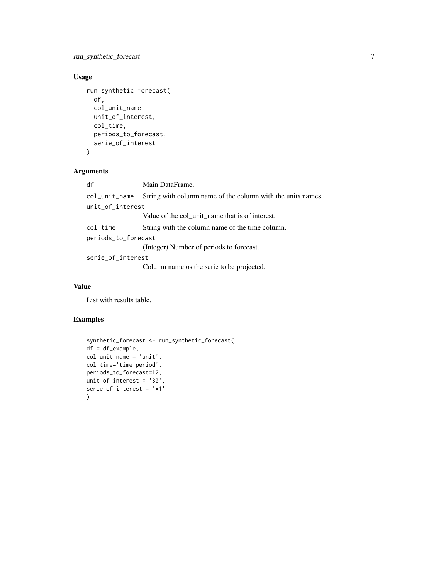run\_synthetic\_forecast 7

### Usage

```
run_synthetic_forecast(
 df,
  col_unit_name,
 unit_of_interest,
 col_time,
 periods_to_forecast,
 serie_of_interest
\mathcal{L}
```
#### Arguments

| df                  | Main DataFrame.                                             |  |  |  |
|---------------------|-------------------------------------------------------------|--|--|--|
| col_unit_name       | String with column name of the column with the units names. |  |  |  |
| unit_of_interest    |                                                             |  |  |  |
|                     | Value of the col_unit_name that is of interest.             |  |  |  |
| col_time            | String with the column name of the time column.             |  |  |  |
| periods_to_forecast |                                                             |  |  |  |
|                     | (Integer) Number of periods to forecast.                    |  |  |  |
| serie_of_interest   |                                                             |  |  |  |
|                     | Column name os the serie to be projected.                   |  |  |  |

#### Value

List with results table.

#### Examples

```
synthetic_forecast <- run_synthetic_forecast(
df = df_example,
col_unit_name = 'unit',
col_time='time_period',
periods_to_forecast=12,
unit_of_interest = '30',
serie_of_interest = 'x1'
)
```